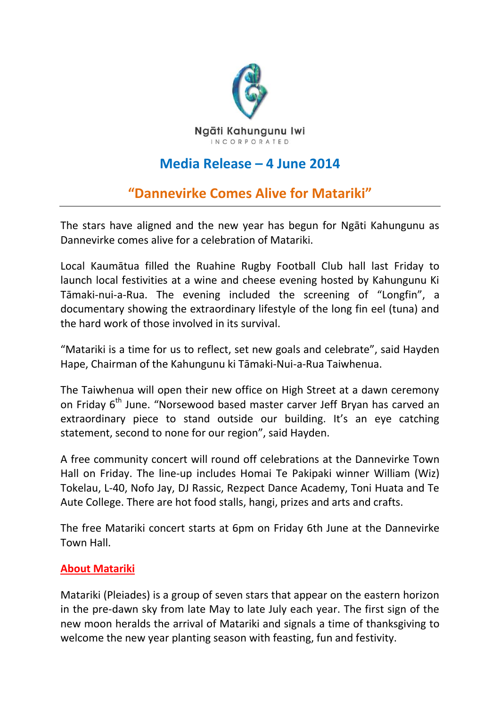

# **Media Release – 4 June 2014**

## **"Dannevirke Comes Alive for Matariki"**

The stars have aligned and the new year has begun for Ngāti Kahungunu as Dannevirke comes alive for a celebration of Matariki.

Local Kaumātua filled the Ruahine Rugby Football Club hall last Friday to launch local festivities at a wine and cheese evening hosted by Kahungunu Ki Tāmaki-nui-a-Rua. The evening included the screening of "Longfin", a documentary showing the extraordinary lifestyle of the long fin eel (tuna) and the hard work of those involved in its survival.

"Matariki is a time for us to reflect, set new goals and celebrate", said Hayden Hape, Chairman of the Kahungunu ki Tāmaki-Nui-a-Rua Taiwhenua.

The Taiwhenua will open their new office on High Street at a dawn ceremony on Friday 6<sup>th</sup> June. "Norsewood based master carver Jeff Bryan has carved an extraordinary piece to stand outside our building. It's an eye catching statement, second to none for our region", said Hayden.

A free community concert will round off celebrations at the Dannevirke Town Hall on Friday. The line-up includes Homai Te Pakipaki winner William (Wiz) Tokelau, L-40, Nofo Jay, DJ Rassic, Rezpect Dance Academy, Toni Huata and Te Aute College. There are hot food stalls, hangi, prizes and arts and crafts.

The free Matariki concert starts at 6pm on Friday 6th June at the Dannevirke Town Hall.

#### **About Matariki**

Matariki (Pleiades) is a group of seven stars that appear on the eastern horizon in the pre-dawn sky from late May to late July each year. The first sign of the new moon heralds the arrival of Matariki and signals a time of thanksgiving to welcome the new year planting season with feasting, fun and festivity.